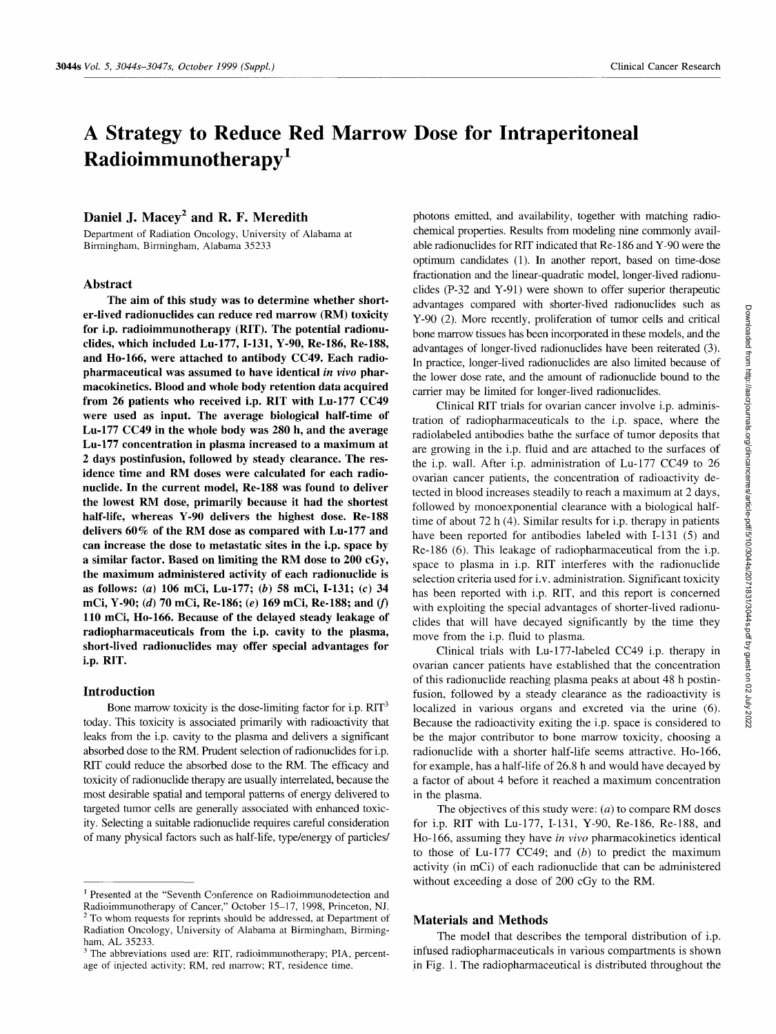# **A Strategy to Reduce Red Marrow Dose for Intraperitoneal Radioimmunotherapy I**

## Daniel J. Macey<sup>2</sup> and R. F. Meredith

Department of Radiation Oncology, University of Alabama at Birmingham, Birmingham, Alabama 35233

#### **Abstract**

**The aim of this study was to determine whether shorter-lived radionuclides can reduce red marrow (RM) toxicity for i.p. radioimmunotherapy (RIT). The potential radionuclides, which included Lu-177, 1-131, Y-90, Re-186, Re-188, and Ho-166, were attached to antibody CC49. Each radiopharmaceutical was assumed to have identical** *in vivo* **pharmacokinetics. Blood and whole body retention data acquired from 26 patients who received i.p. RIT with Lu-177 CC49 were used as input. The average biological half-time of Lu-177 CC49 in the whole body was 280 h, and the average Lu-177 concentration in plasma increased to a maximum at 2 days postinfusion, followed by steady clearance. The residence time and RM doses were calculated for each radionuclide. In the current model, Re-188 was found to deliver the lowest RM dose, primarily because it had the shortest half-life, whereas Y-90 delivers the highest dose. Re-188 delivers 60% of the RM dose as compared with Lu-177 and can increase the dose to metastatic sites in the i.p. space by a similar factor. Based on limiting the RM dose to 200 cGy, the maximum administered activity of each radionuclide is as follows: (a) 106 mCi, Lu-177; (b) 58 mCi, 1-131; (c) 34 mCi, Y-90; (d) 70 mCi, Re-186; (e) 169 mCi, Re-188; and (f) 110 mCi, Ho-166. Because of the delayed steady leakage of radiopharmaceuticals from the i.p. cavity to the plasma, short-lived radionuclides may offer special advantages for i.p. RIT.** 

#### **Introduction**

Bone marrow toxicity is the dose-limiting factor for i.p.  $RIT<sup>3</sup>$ today. This toxicity is associated primarily with radioactivity that leaks from the i.p. cavity to the plasma and delivers a significant absorbed dose to the RM. Prudent selection of radionuclides for i.p. RIT could reduce the absorbed dose to the RM. The efficacy and toxicity of radionuclide therapy are usually interrelated, because the most desirable spatial and temporal patterns of energy delivered to targeted tumor cells are generally associated with enhanced toxicity. Selecting a suitable radionuclide requires careful consideration of many physical factors such as half-life, type/energy of particles/

photons emitted, and availability, together with matching radiochemical properties. Results from modeling nine commonly available radionuclides for RIT indicated that Re-186 and Y-90 were the optimum candidates (1). In another report, based on time-dose fractionation and the linear-quadratic model, longer-lived radionuclides (P-32 and Y-91) were shown to offer superior therapeutic advantages compared with shorter-lived radionuclides such as Y-90 (2). More recently, proliferation of tumor cells and critical bone marrow tissues has been incorporated in these models, and the advantages of longer-lived radionuclides have been reiterated (3). In practice, longer-lived radionuclides are also limited because of the lower dose rate, and the amount of radionuclide bound to the carrier may be limited for longer-lived radionuclides.

Clinical RIT trials for ovarian cancer involve i.p. administration of radiopharmaceuticals to the i.p. space, where the radiolabeled antibodies bathe the surface of tumor deposits that are growing in the i.p. fluid and are attached to the surfaces of the i.p. wall. After i.p. administration of Lu-177 CC49 to 26 ovarian cancer patients, the concentration of radioactivity detected in blood increases steadily to reach a maximum at 2 days, followed by monoexponential clearance with a biological halftime of about 72 h (4). Similar results for i.p. therapy in patients have been reported for antibodies labeled with I-131 (5) and Re-186 (6). This leakage of radiopharmaceutical from the i.p. space to plasma in i.p. RIT interferes with the radionuclide selection criteria used for i.v. administration. Significant toxicity has been reported with i.p. RIT, and this report is concerned with exploiting the special advantages of shorter-lived radionuclides that will have decayed significantly by the time they move from the i.p. fluid to plasma.

Clinical trials with Lu-177-1abeled CC49 i.p. therapy in ovarian cancer patients have established that the concentration of this radionuclide reaching plasma peaks at about 48 h postinfusion, followed by a steady clearance as the radioactivity is localized in various organs and excreted via the urine (6). Because the radioactivity exiting the i.p. space is considered to be the major contributor to bone marrow toxicity, choosing a radionuclide with a shorter half-life seems attractive. Ho-166, for example, has a half-life of 26.8 h and would have decayed by a factor of about 4 before it reached a maximum concentration in the plasma.

The objectives of this study were:  $(a)$  to compare RM doses for i.p. RIT with Lu-177, 1-131, Y-90, Re-186, Re-188, and Ho-166, assuming they have *in vivo* pharmacokinetics identical to those of Lu-177 CC49; and  $(b)$  to predict the maximum activity (in mCi) of each radionuclide that can be administered without exceeding a dose of 200 cGy to the RM.

## **Materials and Methods**

The model that describes the temporal distribution of i.p. infused radiopharmaceuticals in various compartments is shown in Fig. 1. The radiopharmaceutical is distributed throughout the

Presented at the "Seventh Conference on Radioimmunodetection and Radioimmunotherapy of Cancer," October 15-17, 1998, Princeton, NJ. 2 To whom requests for reprints should be addressed, at Department of Radiation Oncology, University of Alabama at Birmingham, Birmingham, AL 35233.

<sup>&</sup>lt;sup>3</sup> The abbreviations used are: RIT, radioimmunotherapy; PIA, percentage of injected activity; RM, red marrow; RT, residence time.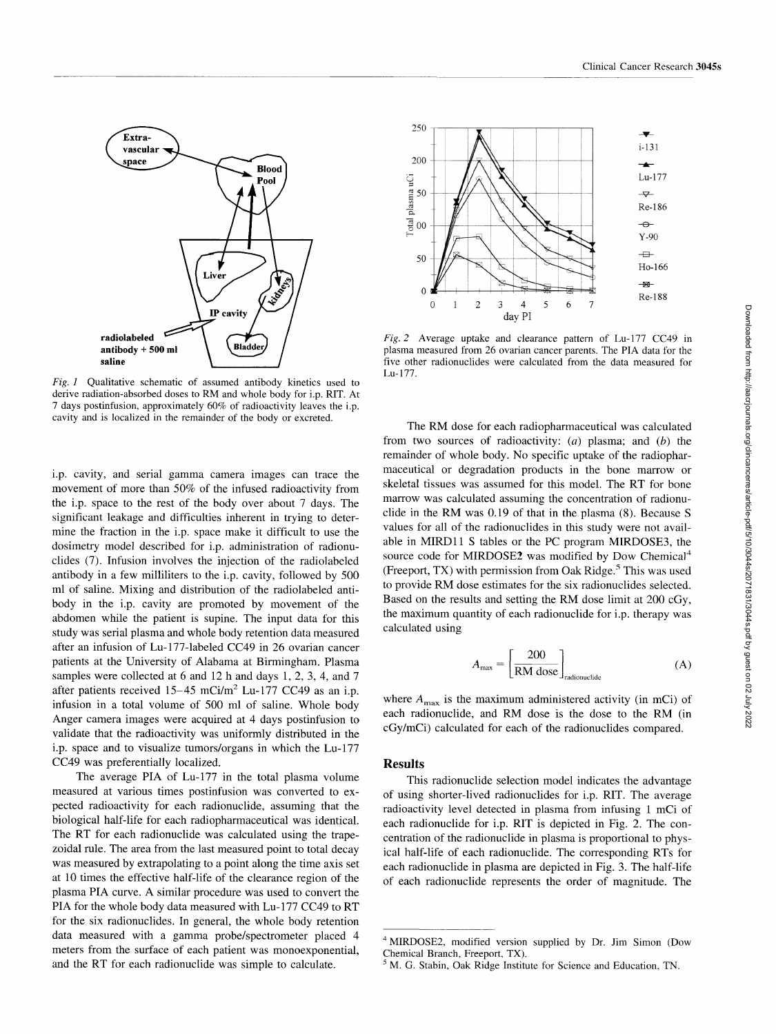

*Fig. 1* Qualitative schematic of assumed antibody kinetics used to derive radiation-absorbed doses to RM and whole body for i.p. RIT. At 7 days postinfusion, approximately 60% of radioactivity leaves the i.p. cavity and is localized in the remainder of the body or excreted.

i.p. cavity, and serial gamma camera images can trace the movement of more than 50% of the infused radioactivity from the i.p. space to the rest of the body over about 7 days. The significant leakage and difficulties inherent in trying to determine the fraction in the i.p. space make it difficult to use the dosimetry model described for i.p. administration of radionuclides (7). Infusion involves the injection of the radiolabeled antibody in a few milliliters to the i.p. cavity, followed by **500**  ml of saline. Mixing and distribution of the radiolabeled antibody in the i.p. cavity are promoted by movement of the abdomen while the patient is supine. The input data for this study was serial plasma and whole body retention data measured after an infusion of Lu-177-labeled CC49 in 26 ovarian cancer patients at the University of Alabama at Birmingham. Plasma samples were collected at 6 and 12 h and days 1, 2, 3, 4, and 7 after patients received  $15-45$  mCi/m<sup>2</sup> Lu-177 CC49 as an i.p. infusion in a total volume of 500 ml of saline. Whole body Anger camera images were acquired at 4 days postinfusion to validate that the radioactivity was uniformly distributed in the i.p. space and to visualize tumors/organs in which the Lu-177 CC49 was preferentially localized.

The average PIA of Lu-177 in the total plasma volume measured at various times postinfusion was converted to expected radioactivity for each radionuclide, assuming that the biological half-life for each radiopharmaceutical was identical. The RT for each radionuclide was calculated using the trapezoidal rule. The area from the last measured point to total decay was measured by extrapolating to a point along the time axis set at 10 times the effective half-life of the clearance region of the plasma PIA curve. A similar procedure was used to convert the PIA for the whole body data measured with Lu-177 CC49 to RT for the six radionuclides. In general, the whole body retention data measured with a gamma probe/spectrometer placed 4 meters from the surface of each patient was monoexponential, and the RT for each radionuclide was simple to calculate.



*Fig. 2* Average uptake and clearance pattern of Lu-177 CC49 in plasma measured from 26 ovarian cancer parents. The PIA data for the five other radionuclides were calculated from the data measured for Lu- 177.

The RM dose for each radiopharmaceutical was calculated from two sources of radioactivity:  $(a)$  plasma; and  $(b)$  the remainder of whole body. No specific uptake of the radiopharmaceutical or degradation products in the bone marrow or skeletal tissues was assumed for this model. The RT for bone marrow was calculated assuming the concentration of radionuclide in the RM was 0.19 of that in the plasma (8). Because S values for all of the radionuclides in this study were not available in MIRD11 S tables or the PC program MIRDOSE3, the source code for MIRDOSE2 was modified by Dow Chemical<sup>4</sup> (Freeport, TX) with permission from Oak Ridge.<sup>5</sup> This was used to provide RM dose estimates for the six radionuclides selected. Based on the results and setting the RM dose limit at 200 cGy, the maximum quantity of each radionuclide for i.p. therapy was calculated using

$$
A_{\text{max}} = \left[\frac{200}{\text{RM dose}}\right]_{\text{radionuclei}}
$$
 (A)

where  $A_{\text{max}}$  is the maximum administered activity (in mCi) of each radionuclide, and RM dose is the dose to the RM (in cGy/mCi) calculated for each of the radionuclides compared.

#### **Results**

This radionuclide selection model indicates the advantage of using shorter-lived radionuclides for i.p. RIT. The average radioactivity level detected in plasma from infusing 1 mCi of each radionuclide for i.p. RIT is depicted in Fig. 2. The concentration of the radionuclide in plasma is proportional to physical halt-life of each radionuclide. The corresponding RTs for each radionuclide in plasma are depicted in Fig. 3. The half-life of each radionuclide represents the order of magnitude. The

<sup>4</sup> MIRDOSE2, modified version supplied by Dr. Jim Simon (Dow Chemical Branch, Freeport, TX).

<sup>&</sup>lt;sup>5</sup> M. G. Stabin, Oak Ridge Institute for Science and Education, TN.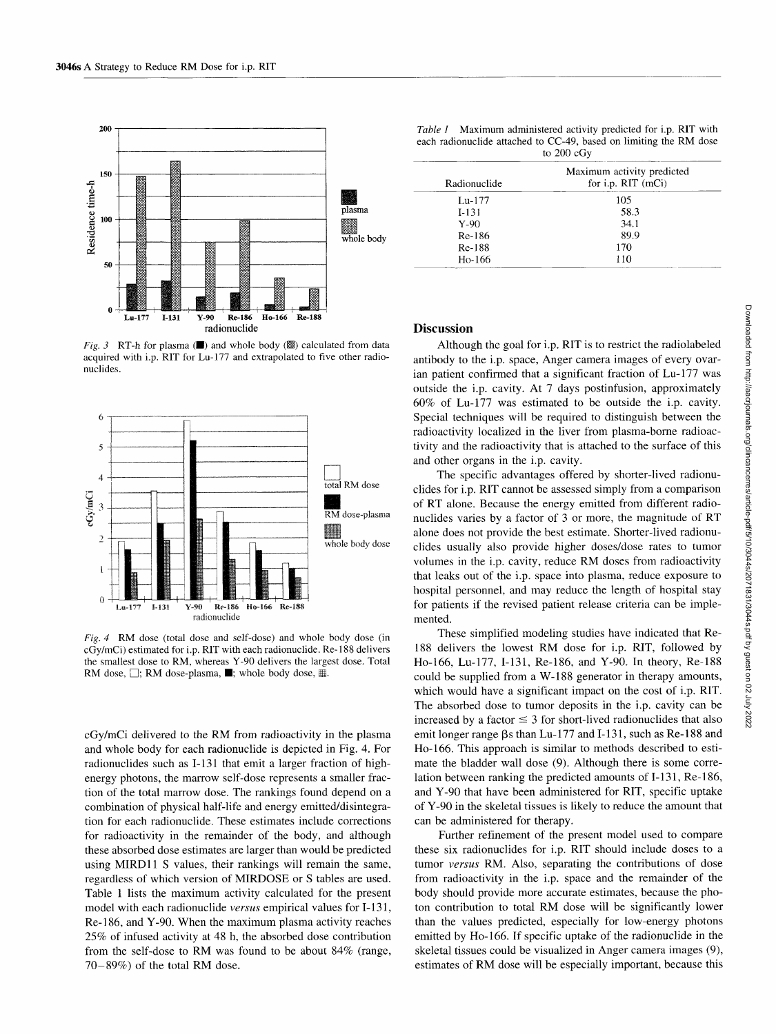

*Fig.* 3 RT-h for plasma  $(\blacksquare)$  and whole body  $(\lozenge)$  calculated from data acquired with i.p. RIT for Lu-177 and extrapolated to five other radionuclides.



*Fig. 4* RM dose (total dose and self-dose) and whole body dose (in cGy/mCi) estimated for i.p. RIT with each radionuclide. Re- 188 delivers the smallest dose to RM, whereas Y-90 delivers the largest dose. Total RM dose,  $\square$ ; RM dose-plasma,  $\blacksquare$ ; whole body dose,  $\overline{\mathbb{H}}$ .

cGy/mCi delivered to the RM from radioactivity in the plasma and whole body for each radionuclide is depicted in Fig. 4. For radionuclides such as 1-131 that emit a larger fraction of highenergy photons, the marrow self-dose represents a smaller fraction of the total marrow dose. The rankings found depend on a combination of physical half-life and energy emitted/disintegration for each radionuclide. These estimates include corrections for radioactivity in the remainder of the body, and although these absorbed dose estimates are larger than would be predicted using MIRD11 S values, their rankings will remain the same, regardless of which version of MIRDOSE or S tables are used. Table 1 lists the maximum activity calculated for the present model with each radionuclide *versus* empirical values for I-131, Re-186, and Y-90. When the maximum plasma activity reaches 25% of infused activity at 48 h, the absorbed dose contribution from the self-dose to RM was found to be about 84% (range, 70-89%) of the total RM dose.

*Table 1* Maximum administered activity predicted for i.p. RIT with each radionuclide attached to CC-49, based on limiting the RM dose to 200 cGy

|                  | $\sim$ $\sim$ $\sim$ $\sim$ $\sim$ $\sim$ |                                                    |  |
|------------------|-------------------------------------------|----------------------------------------------------|--|
|                  | Radionuclide                              | Maximum activity predicted<br>for i.p. $RIT$ (mCi) |  |
|                  | $Lu-177$                                  | 105                                                |  |
| plasma           | $I-131$                                   | 58.3                                               |  |
|                  | $Y-90$                                    | 34.1                                               |  |
| ▓▓<br>whole body | Re-186                                    | 89.9                                               |  |
|                  | Re-188                                    | 170                                                |  |
|                  | Ho-166                                    | 110                                                |  |
|                  |                                           |                                                    |  |

## **Discussion**

Although the goal for i.p. RIT is to restrict the radiolabeled antibody to the i.p. space, Anger camera images of every ovarian patient confirmed that a significant fraction of Lu-177 was outside the i.p. cavity. At 7 days postinfusion, approximately 60% of Lu-177 was estimated to be outside the i.p. cavity. Special techniques will be required to distinguish between the radioactivity localized in the liver from plasma-borne radioactivity and the radioactivity that is attached to the surface of this and other organs in the i.p. cavity.

The specific advantages offered by shorter-lived radionuclides for i.p. RIT cannot be assessed simply from a comparison of RT alone. Because the energy emitted from different radionuclides varies by a factor of 3 or more, the magnitude of RT alone does not provide the best estimate. Shorter-lived radionuclides usually also provide higher doses/dose rates to tumor volumes in the i.p. cavity, reduce RM doses from radioactivity that leaks out of the i.p. space into plasma, reduce exposure to hospital personnel, and may reduce the length of hospital stay for patients if the revised patient release criteria can be implemented.

These simplified modeling studies have indicated that Re-188 delivers the lowest RM dose for i.p. RIT, followed by Ho-166, Lu-177, 1-131, Re-186, and Y-90. In theory, Re-188 could be supplied from a W-188 generator in therapy amounts, which would have a significant impact on the cost of i.p. RIT. The absorbed dose to tumor deposits in the i.p. cavity can be increased by a factor  $\leq$  3 for short-lived radionuclides that also emit longer range  $\beta s$  than Lu-177 and I-131, such as Re-188 and Ho-166. This approach is similar to methods described to estimate the bladder wall dose (9). Although there is some correlation between ranking the predicted amounts of I-131, Re-186, and Y-90 that have been administered for RIT, specific uptake of Y-90 in the skeletal tissues is likely to reduce the amount that can be administered for therapy.

Further refinement of the present model used to compare these six radionuclides for i.p. RIT should include doses to a tumor *versus* RM. Also, separating the contributions of dose from radioactivity in the i.p. space and the remainder of the body should provide more accurate estimates, because the photon contribution to total RM dose will be significantly lower than the values predicted, especially for low-energy photons emitted by Ho-166. If specific uptake of the radionuclide in the skeletal tissues could be visualized in Anger camera images (9), estimates of RM dose will be especially important, because this